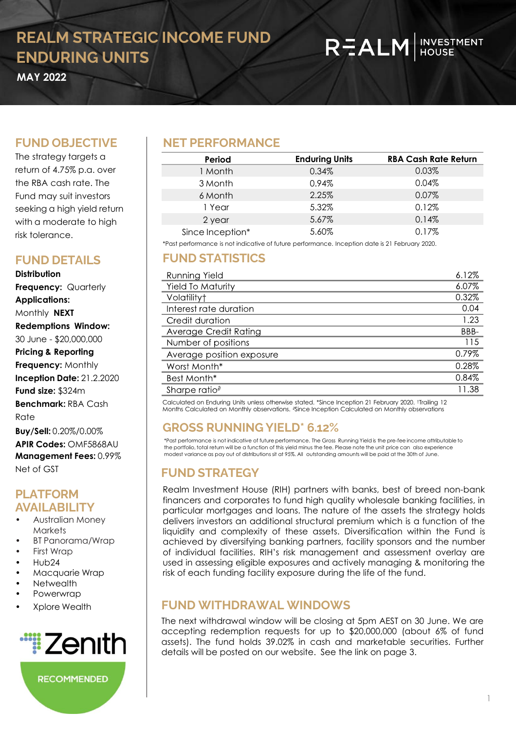# REALM HOUSE

**OCTOBER 2O21 MAY 2022**

#### **FUND OBJECTIVE**

The strategy targets a return of 4.75% p.a. over the RBA cash rate. The Fund may suit investors seeking a high yield return with a moderate to high risk tolerance.

#### **FUND DETAILS**

**Distribution Frequency:** Quarterly **Applications:**  Monthly **NEXT Redemptions Window:** 30 June - \$20,000,000 **Pricing & Reporting Frequency:** Monthly **Inception Date:** 21.2.2020 **Fund size:** \$324m **Benchmark:** RBA Cash Rate

**Buy/Sell:** 0.20%/0.00% **APIR Codes:** OMF5868AU **Management Fees:** 0.99% Net of GST

#### **PLATFORM AVAILABILITY**

- Australian Money **Markets**
- BT Panorama/Wrap
- First Wrap
- Hub24
- Macquarie Wrap
- Netwealth
- **Powerwrap**
- Xplore Wealth



**RECOMMENDED** 

#### **NET PERFORMANCE**

| Period           | <b>Enduring Units</b> | <b>RBA Cash Rate Return</b> |
|------------------|-----------------------|-----------------------------|
| 1 Month          | 0.34%                 | 0.03%                       |
| 3 Month          | 0.94%                 | 0.04%                       |
| 6 Month          | 2.25%                 | 0.07%                       |
| 1 Year           | 5.32%                 | 0.12%                       |
| 2 year           | 5.67%                 | 0.14%                       |
| Since Inception* | 5.60%                 | 0.17%                       |

\*Past performance is not indicative of future performance. Inception date is 21 February 2020.

#### **FUND STATISTICS**

| Running Yield             |          |
|---------------------------|----------|
| <b>Yield To Maturity</b>  | $6.07\%$ |
| Volatilityt               | 0.32%    |
| Interest rate duration    | 0.04     |
| Credit duration           | 1.23     |
| Average Credit Rating     | BBB-     |
| Number of positions       | 115      |
| Average position exposure | 0.79%    |
| Worst Month*              | 0.28%    |
| Best Month*               | 0.84%    |
| Sharpe ratio $\partial$   | 11.38    |

Calculated on Enduring Units unless otherwise stated. \*Since Inception 21 February 2020. †Trailing 12 Months Calculated on Monthly observations. <sup>∂</sup>Since Inception Calculated on Monthly observations

#### **GROSS RUNNING YIELD\* 6.12%**

\*Past performance is not indicative of future performance. The Gross Running Yield is the pre-fee income attributable to the portfolio, total return will be a function of this yield minus the fee. Please note the unit price can also experience modest variance as pay out of distributions sit at 95%. All outstanding amounts will be paid at the 30th of June.

#### **FUND STRATEGY**

Realm Investment House (RIH) partners with banks, best of breed non-bank financers and corporates to fund high quality wholesale banking facilities, in particular mortgages and loans. The nature of the assets the strategy holds delivers investors an additional structural premium which is a function of the liquidity and complexity of these assets. Diversification within the Fund is achieved by diversifying banking partners, facility sponsors and the number of individual facilities. RIH's risk management and assessment overlay are used in assessing eligible exposures and actively managing & monitoring the risk of each funding facility exposure during the life of the fund.

#### **FUND WITHDRAWAL WINDOWS**

The next withdrawal window will be closing at 5pm AEST on 30 June. We are accepting redemption requests for up to \$20,000,000 (about 6% of fund assets). The fund holds 39.02% in cash and marketable securities. Further details will be posted on our website. See the link on page 3.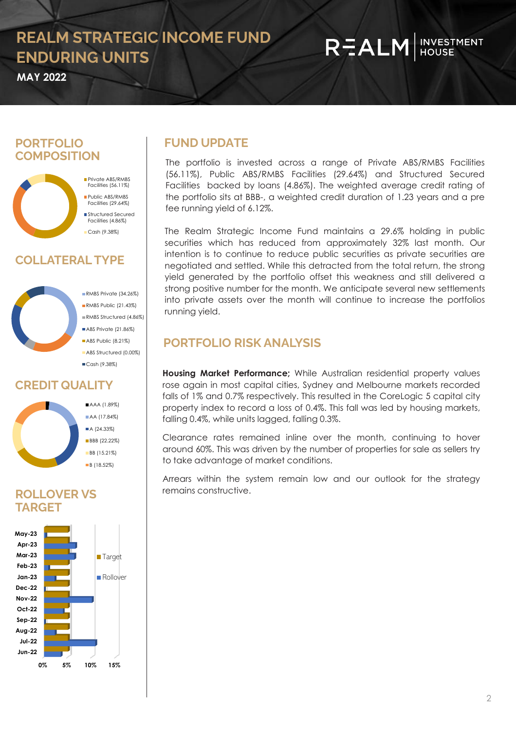## **REALM HOUSE**

**MAY 2022**

#### **PORTFOLIO COMPOSITION**



### **COLLATERALTYPE**



RMBS Private (34.26%) RMBS Public (21,43%) RMBS Structured (4.86%) ABS Private (21.86%) ABS Public (8.21%) ABS Structured (0.00%) Cash (9.38%)

#### **CREDIT QUALITY**



#### **ROLLOVER VS TARGET**



#### **FUND UPDATE**

The portfolio is invested across a range of Private ABS/RMBS Facilities (56.11%), Public ABS/RMBS Facilities (29.64%) and Structured Secured Facilities backed by loans (4.86%). The weighted average credit rating of the portfolio sits at BBB-, a weighted credit duration of 1.23 years and a pre fee running yield of 6.12%.

The Realm Strategic Income Fund maintains a 29.6% holding in public securities which has reduced from approximately 32% last month. Our intention is to continue to reduce public securities as private securities are negotiated and settled. While this detracted from the total return, the strong yield generated by the portfolio offset this weakness and still delivered a strong positive number for the month. We anticipate several new settlements into private assets over the month will continue to increase the portfolios running yield.

#### **PORTFOLIO RISK ANALYSIS**

**Housing Market Performance;** While Australian residential property values rose again in most capital cities, Sydney and Melbourne markets recorded falls of 1% and 0.7% respectively. This resulted in the CoreLogic 5 capital city property index to record a loss of 0.4%. This fall was led by housing markets, falling 0.4%, while units lagged, falling 0.3%.

Clearance rates remained inline over the month, continuing to hover around 60%. This was driven by the number of properties for sale as sellers try to take advantage of market conditions.

Arrears within the system remain low and our outlook for the strategy remains constructive.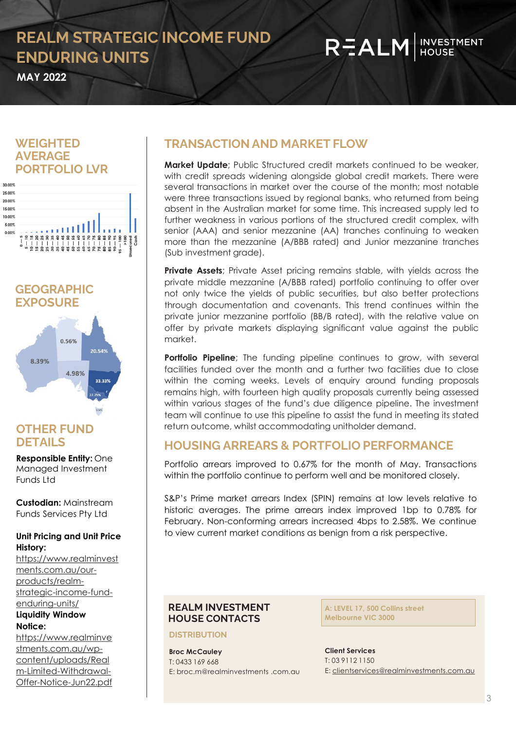# **REALM HOUSE**

**MAY 2022** 

#### **WEIGHTED AVERAGE PORTFOLIO LVR**



**GEOGRAPHIC EXPOSURE**



#### **OTHER FUND DETAILS**

**Responsible Entity:** One Managed Investment Funds Ltd

**Custodian:** Mainstream Funds Services Pty Ltd

#### **Unit Pricing and Unit Price History:**

https://www.realminvest ments.com.au/ourproducts/realm[strategic-income-fund](https://www.realminvestments.com.au/our-products/realm-strategic-income-fund-enduring-units/)enduring-units/ **Liquidity Window Notice:** 

https://www.realminve stments.com.au/wpcontent/uploads/Real m-Limited-Withdrawal-[Offer-Notice-Jun22.pdf](https://www.realminvestments.com.au/wp-content/uploads/Realm-Limited-Withdrawal-Offer-Notice-Jun22.pdf)

### **TRANSACTION AND MARKET FLOW**

**Market Update**; Public Structured credit markets continued to be weaker, with credit spreads widening alongside global credit markets. There were several transactions in market over the course of the month; most notable were three transactions issued by regional banks, who returned from being absent in the Australian market for some time. This increased supply led to further weakness in various portions of the structured credit complex, with senior (AAA) and senior mezzanine (AA) tranches continuing to weaken more than the mezzanine (A/BBB rated) and Junior mezzanine tranches (Sub investment grade).

**Private Assets**; Private Asset pricing remains stable, with yields across the private middle mezzanine (A/BBB rated) portfolio continuing to offer over not only twice the yields of public securities, but also better protections through documentation and covenants. This trend continues within the private junior mezzanine portfolio (BB/B rated), with the relative value on offer by private markets displaying significant value against the public market.

**Portfolio Pipeline**; The funding pipeline continues to grow, with several facilities funded over the month and a further two facilities due to close within the coming weeks. Levels of enquiry around funding proposals remains high, with fourteen high quality proposals currently being assessed within various stages of the fund's due diligence pipeline. The investment team will continue to use this pipeline to assist the fund in meeting its stated return outcome, whilst accommodating unitholder demand.

#### **HOUSING ARREARS & PORTFOLIO PERFORMANCE**

Portfolio arrears improved to 0.67% for the month of May. Transactions within the portfolio continue to perform well and be monitored closely.

S&P's Prime market arrears Index (SPIN) remains at low levels relative to historic averages. The prime arrears index improved 1bp to 0.78% for February. Non-conforming arrears increased 4bps to 2.58%. We continue to view current market conditions as benign from a risk perspective.

#### **REALM INVESTMENT HOUSE CONTACTS**

#### **DISTRIBUTION**

**Broc McCauley** T: 0433 169 668 E: broc.m@realminvestments .com.au

**A: LEVEL 17, 500 Collins street Melbourne VIC 3000**

**Client Services** T: 03 9112 1150 E: [clientservices@realminvestments.com.au](mailto:clientservices@realminvestments.com.au)